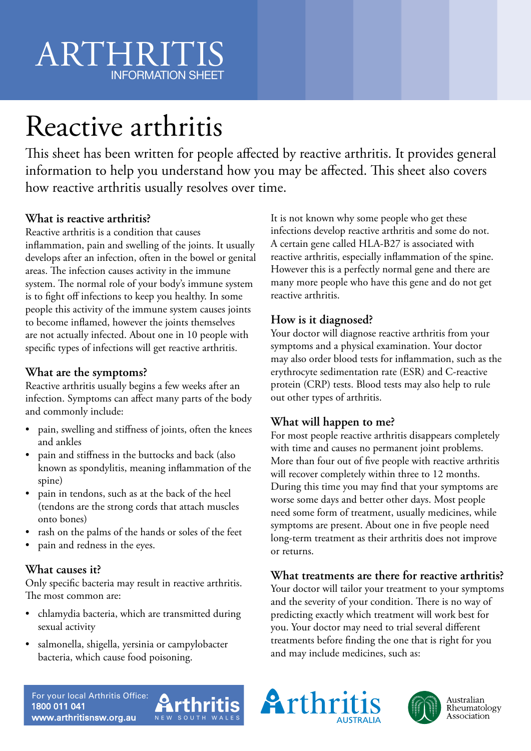# ARTHRITIS INFORMATION SHEET

# Reactive arthritis

This sheet has been written for people affected by reactive arthritis. It provides general information to help you understand how you may be affected. This sheet also covers how reactive arthritis usually resolves over time.

#### **What is reactive arthritis?**

Reactive arthritis is a condition that causes

inflammation, pain and swelling of the joints. It usually develops after an infection, often in the bowel or genital areas. The infection causes activity in the immune system. The normal role of your body's immune system is to fight off infections to keep you healthy. In some people this activity of the immune system causes joints to become inflamed, however the joints themselves are not actually infected. About one in 10 people with specific types of infections will get reactive arthritis.

#### **What are the symptoms?**

Reactive arthritis usually begins a few weeks after an infection. Symptoms can affect many parts of the body and commonly include:

- pain, swelling and stiffness of joints, often the knees and ankles
- pain and stiffness in the buttocks and back (also known as spondylitis, meaning inflammation of the spine)
- pain in tendons, such as at the back of the heel (tendons are the strong cords that attach muscles onto bones)
- rash on the palms of the hands or soles of the feet
- pain and redness in the eyes.

### **What causes it?**

Only specific bacteria may result in reactive arthritis. The most common are:

- chlamydia bacteria, which are transmitted during sexual activity
- salmonella, shigella, yersinia or campylobacter bacteria, which cause food poisoning.

It is not known why some people who get these infections develop reactive arthritis and some do not. A certain gene called HLA-B27 is associated with reactive arthritis, especially inflammation of the spine. However this is a perfectly normal gene and there are many more people who have this gene and do not get reactive arthritis.

## **How is it diagnosed?**

Your doctor will diagnose reactive arthritis from your symptoms and a physical examination. Your doctor may also order blood tests for inflammation, such as the erythrocyte sedimentation rate (ESR) and C-reactive protein (CRP) tests. Blood tests may also help to rule out other types of arthritis.

### **What will happen to me?**

For most people reactive arthritis disappears completely with time and causes no permanent joint problems. More than four out of five people with reactive arthritis will recover completely within three to 12 months. During this time you may find that your symptoms are worse some days and better other days. Most people need some form of treatment, usually medicines, while symptoms are present. About one in five people need long-term treatment as their arthritis does not improve or returns.

#### **What treatments are there for reactive arthritis?**

Your doctor will tailor your treatment to your symptoms and the severity of your condition. There is no way of predicting exactly which treatment will work best for you. Your doctor may need to trial several different treatments before finding the one that is right for you and may include medicines, such as: